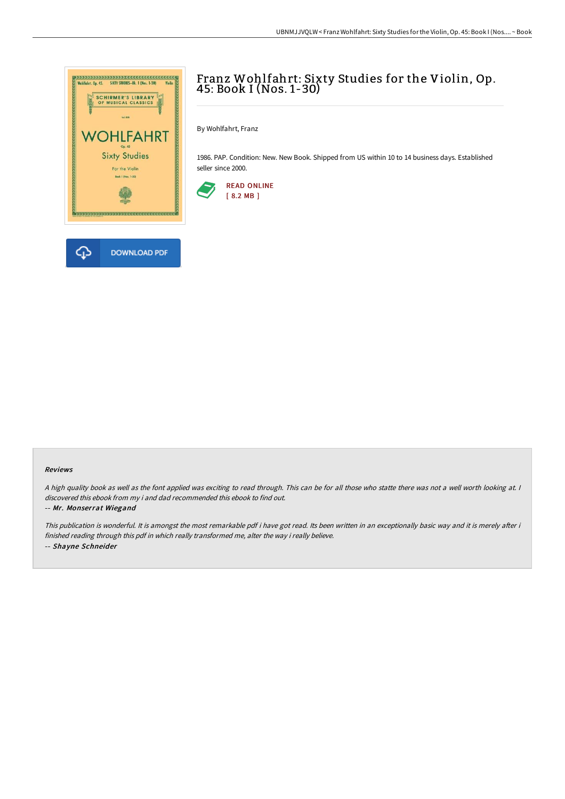

## Franz Wohlfahrt: Sixty Studies for the Violin, Op. 45: Book I (Nos. 1-30)

By Wohlfahrt, Franz

1986. PAP. Condition: New. New Book. Shipped from US within 10 to 14 business days. Established seller since 2000.



## Reviews

<sup>A</sup> high quality book as well as the font applied was exciting to read through. This can be for all those who statte there was not <sup>a</sup> well worth looking at. <sup>I</sup> discovered this ebook from my i and dad recommended this ebook to find out.

## -- Mr. Monserrat Wiegand

This publication is wonderful. It is amongst the most remarkable pdf i have got read. Its been written in an exceptionally basic way and it is merely after i finished reading through this pdf in which really transformed me, alter the way i really believe. -- Shayne Schneider